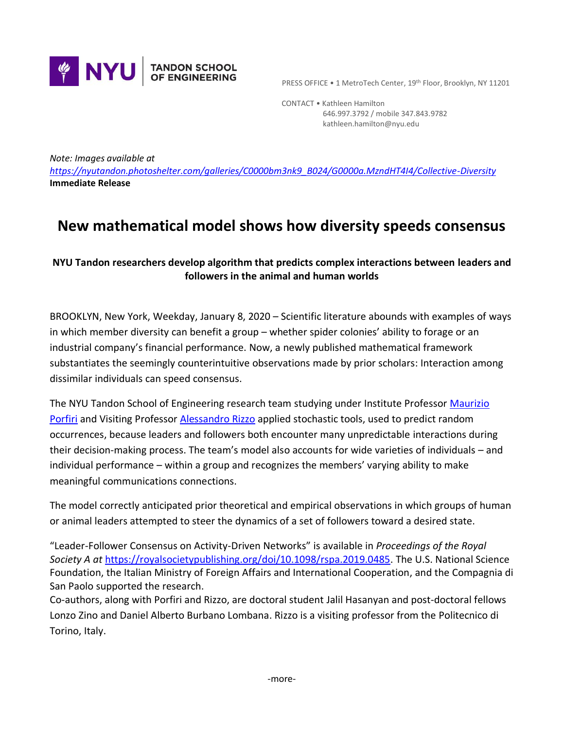

PRESS OFFICE • 1 MetroTech Center, 19th Floor, Brooklyn, NY 11201

 CONTACT • Kathleen Hamilton 646.997.3792 / mobile 347.843.9782 kathleen.hamilton@nyu.edu

*Note: Images available at* 

*[https://nyutandon.photoshelter.com/galleries/C0000bm3nk9\\_B024/G0000a.MzndHT4I4/Collective-Diversity](https://nyutandon.photoshelter.com/galleries/C0000bm3nk9_B024/G0000a.MzndHT4I4/Collective-Diversity)* **Immediate Release**

## **New mathematical model shows how diversity speeds consensus**

## **NYU Tandon researchers develop algorithm that predicts complex interactions between leaders and followers in the animal and human worlds**

BROOKLYN, New York, Weekday, January 8, 2020 – Scientific literature abounds with examples of ways in which member diversity can benefit a group – whether spider colonies' ability to forage or an industrial company's financial performance. Now, a newly published mathematical framework substantiates the seemingly counterintuitive observations made by prior scholars: Interaction among dissimilar individuals can speed consensus.

The NYU Tandon School of Engineering research team studying under Institute Professor Maurizio [Porfiri](https://engineering.nyu.edu/faculty/maurizio-porfiri) and Visiting Professor [Alessandro Rizzo](https://engineering.nyu.edu/faculty/alessandro-rizzo) applied stochastic tools, used to predict random occurrences, because leaders and followers both encounter many unpredictable interactions during their decision-making process. The team's model also accounts for wide varieties of individuals – and individual performance – within a group and recognizes the members' varying ability to make meaningful communications connections.

The model correctly anticipated prior theoretical and empirical observations in which groups of human or animal leaders attempted to steer the dynamics of a set of followers toward a desired state.

"Leader-Follower Consensus on Activity-Driven Networks" is available in *Proceedings of the Royal Society A at* [https://royalsocietypublishing.org/doi/10.1098/rspa.2019.0485.](https://urldefense.proofpoint.com/v2/url?u=https-3A__royalsocietypublishing.org_doi_10.1098_rspa.2019.0485&d=DwMGaQ&c=slrrB7dE8n7gBJbeO0g-IQ&r=gcL7gSCJBmDkNeN3dlR495PsDvVOZqsvnLFAUrOKnbc&m=L0jr1fKlzbLzskKFQWj5JOOs_X4C-7FF9gLeTqHSxw0&s=POgPU4Mee3zPLY-ZZBWOn1QLefbq039wz4IUG4VnWLE&e=) The U.S. National Science Foundation, the Italian Ministry of Foreign Affairs and International Cooperation, and the Compagnia di San Paolo supported the research.

Co-authors, along with Porfiri and Rizzo, are doctoral student Jalil Hasanyan and post-doctoral fellows Lonzo Zino and Daniel Alberto Burbano Lombana. Rizzo is a visiting professor from the Politecnico di Torino, Italy.